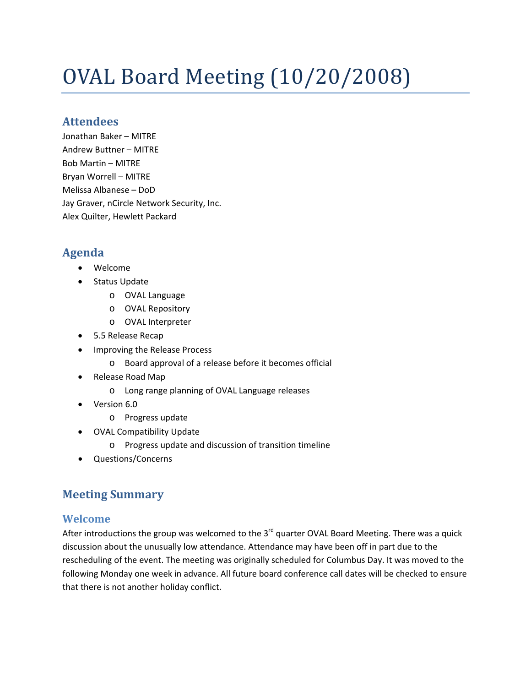# OVAL Board Meeting (10/20/2008)

## **Attendees**

Jonathan Baker – MITRE Andrew Buttner – MITRE Bob Martin – MITRE Bryan Worrell – MITRE Melissa Albanese – DoD Jay Graver, nCircle Network Security, Inc. Alex Quilter, Hewlett Packard

# **Agenda**

- Welcome
- Status Update
	- o OVAL Language
	- o OVAL Repository
	- o OVAL Interpreter
- 5.5 Release Recap
- Improving the Release Process
	- o Board approval of a release before it becomes official
- Release Road Map
	- o Long range planning of OVAL Language releases
- Version 6.0
	- o Progress update
- OVAL Compatibility Update
	- o Progress update and discussion of transition timeline
- Questions/Concerns

# **Meeting Summary**

## **Welcome**

After introductions the group was welcomed to the 3<sup>rd</sup> quarter OVAL Board Meeting. There was a quick discussion about the unusually low attendance. Attendance may have been off in part due to the rescheduling of the event. The meeting was originally scheduled for Columbus Day. It was moved to the following Monday one week in advance. All future board conference call dates will be checked to ensure that there is not another holiday conflict.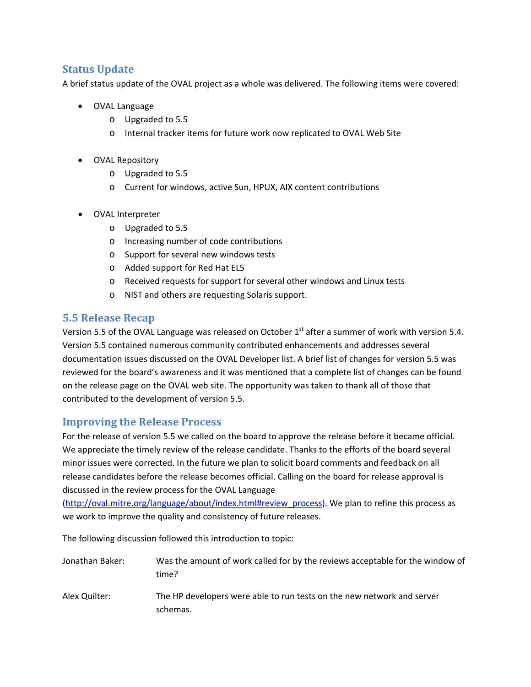### **Status Update**

A brief status update of the OVAL project as a whole was delivered. The following items were covered:

- OVAL Language
	- o Upgraded to 5.5
	- o Internal tracker items for future work now replicated to OVAL Web Site
- OVAL Repository
	- o Upgraded to 5.5
	- o Current for windows, active Sun, HPUX, AIX content contributions
- OVAL Interpreter
	- o Upgraded to 5.5
	- o Increasing number of code contributions
	- o Support for several new windows tests
	- o Added support for Red Hat EL5
	- o Received requests for support for several other windows and Linux tests
	- o NIST and others are requesting Solaris support.

#### **5.5 Release Recap**

Version 5.5 of the OVAL Language was released on October 1<sup>st</sup> after a summer of work with version 5.4. Version 5.5 contained numerous community contributed enhancements and addresses several documentation issues discussed on the OVAL Developer list. A brief list of changes for version 5.5 was reviewed for the board's awareness and it was mentioned that a complete list of changes can be found on the release page on the OVAL web site. The opportunity was taken to thank all of those that contributed to the development of version 5.5.

#### **Improving the Release Process**

For the release of version 5.5 we called on the board to approve the release before it became official. We appreciate the timely review of the release candidate. Thanks to the efforts of the board several minor issues were corrected. In the future we plan to solicit board comments and feedback on all release candidates before the release becomes official. Calling on the board for release approval is discussed in the review process for the OVAL Language

[\(http://oval.mitre.org/language/about/index.html#review\\_process](http://oval.mitre.org/language/about/index.html#review_process)). We plan to refine this process as we work to improve the quality and consistency of future releases.

The following discussion followed this introduction to topic:

- Jonathan Baker: Was the amount of work called for by the reviews acceptable for the window of time?
- Alex Quilter: The HP developers were able to run tests on the new network and server schemas.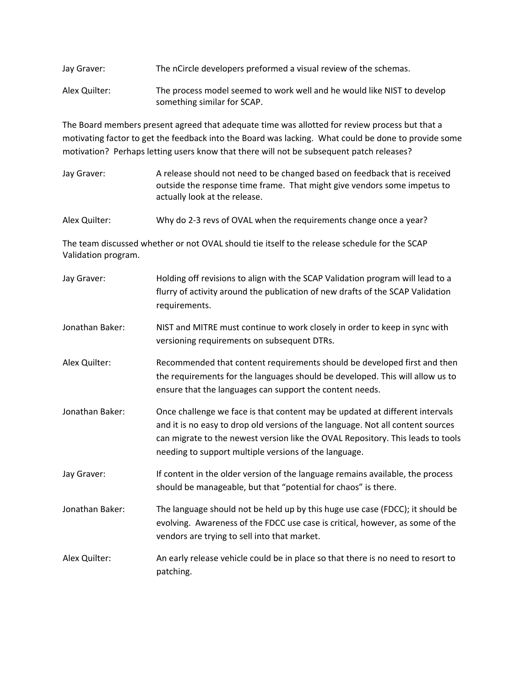| Jay Graver:   | The nCircle developers preformed a visual review of the schemas.        |
|---------------|-------------------------------------------------------------------------|
| Alex Quilter: | The process model seemed to work well and he would like NIST to develop |
|               | something similar for SCAP.                                             |

The Board members present agreed that adequate time was allotted for review process but that a motivating factor to get the feedback into the Board was lacking. What could be done to provide some motivation? Perhaps letting users know that there will not be subsequent patch releases?

Jay Graver: A release should not need to be changed based on feedback that is received outside the response time frame. That might give vendors some impetus to actually look at the release.

Alex Quilter: Why do 2-3 revs of OVAL when the requirements change once a year?

The team discussed whether or not OVAL should tie itself to the release schedule for the SCAP Validation program.

| Jay Graver:     | Holding off revisions to align with the SCAP Validation program will lead to a<br>flurry of activity around the publication of new drafts of the SCAP Validation<br>requirements.                                                                                                                           |
|-----------------|-------------------------------------------------------------------------------------------------------------------------------------------------------------------------------------------------------------------------------------------------------------------------------------------------------------|
| Jonathan Baker: | NIST and MITRE must continue to work closely in order to keep in sync with<br>versioning requirements on subsequent DTRs.                                                                                                                                                                                   |
| Alex Quilter:   | Recommended that content requirements should be developed first and then<br>the requirements for the languages should be developed. This will allow us to<br>ensure that the languages can support the content needs.                                                                                       |
| Jonathan Baker: | Once challenge we face is that content may be updated at different intervals<br>and it is no easy to drop old versions of the language. Not all content sources<br>can migrate to the newest version like the OVAL Repository. This leads to tools<br>needing to support multiple versions of the language. |
| Jay Graver:     | If content in the older version of the language remains available, the process<br>should be manageable, but that "potential for chaos" is there.                                                                                                                                                            |
| Jonathan Baker: | The language should not be held up by this huge use case (FDCC); it should be<br>evolving. Awareness of the FDCC use case is critical, however, as some of the<br>vendors are trying to sell into that market.                                                                                              |
| Alex Quilter:   | An early release vehicle could be in place so that there is no need to resort to<br>patching.                                                                                                                                                                                                               |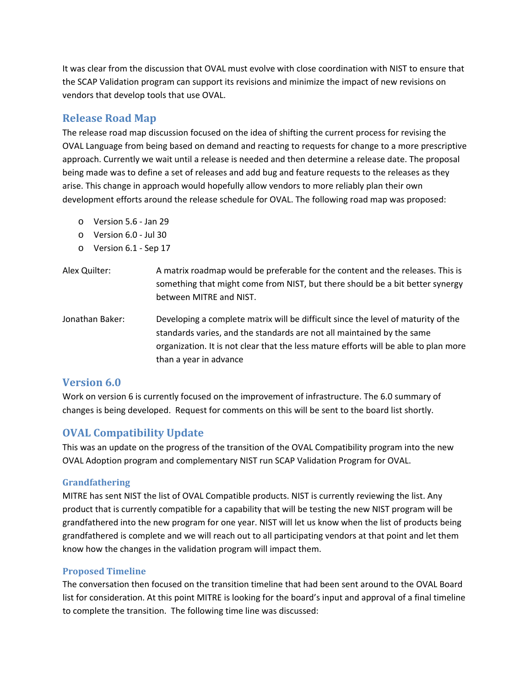It was clear from the discussion that OVAL must evolve with close coordination with NIST to ensure that the SCAP Validation program can support its revisions and minimize the impact of new revisions on vendors that develop tools that use OVAL.

## **Release Road Map**

The release road map discussion focused on the idea of shifting the current process for revising the OVAL Language from being based on demand and reacting to requests for change to a more prescriptive approach. Currently we wait until a release is needed and then determine a release date. The proposal being made was to define a set of releases and add bug and feature requests to the releases as they arise. This change in approach would hopefully allow vendors to more reliably plan their own development efforts around the release schedule for OVAL. The following road map was proposed:

- o Version 5.6 ‐ Jan 29
- o Version 6.0 ‐ Jul 30
- o Version 6.1 ‐ Sep 17
- Alex Quilter: **A** matrix roadmap would be preferable for the content and the releases. This is something that might come from NIST, but there should be a bit better synergy between MITRE and NIST.
- Jonathan Baker: Developing a complete matrix will be difficult since the level of maturity of the standards varies, and the standards are not all maintained by the same organization. It is not clear that the less mature efforts will be able to plan more than a year in advance

#### **Version 6.0**

Work on version 6 is currently focused on the improvement of infrastructure. The 6.0 summary of changes is being developed. Request for comments on this will be sent to the board list shortly.

## **OVAL Compatibility Update**

This was an update on the progress of the transition of the OVAL Compatibility program into the new OVAL Adoption program and complementary NIST run SCAP Validation Program for OVAL.

#### **Grandfathering**

MITRE has sent NIST the list of OVAL Compatible products. NIST is currently reviewing the list. Any product that is currently compatible for a capability that will be testing the new NIST program will be grandfathered into the new program for one year. NIST will let us know when the list of products being grandfathered is complete and we will reach out to all participating vendors at that point and let them know how the changes in the validation program will impact them.

#### **Proposed Timeline**

The conversation then focused on the transition timeline that had been sent around to the OVAL Board list for consideration. At this point MITRE is looking for the board's input and approval of a final timeline to complete the transition. The following time line was discussed: